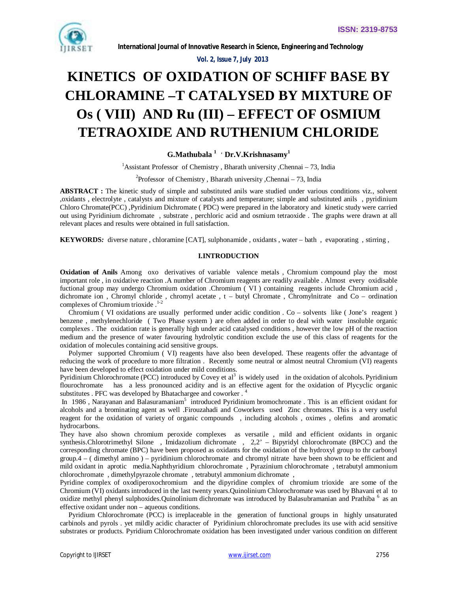

 *Vol. 2, Issue 7, July 2013*

# **KINETICS OF OXIDATION OF SCHIFF BASE BY CHLORAMINE –T CATALYSED BY MIXTURE OF Os ( VIII) AND Ru (III) – EFFECT OF OSMIUM TETRAOXIDE AND RUTHENIUM CHLORIDE**

# **G.Mathubala 1 , Dr.V.Krishnasamy<sup>1</sup>**

<sup>1</sup>Assistant Professor of Chemistry, Bharath university, Chennai – 73, India

# <sup>2</sup>Professor of Chemistry, Bharath university, Chennai – 73, India

**ABSTRACT :** The kinetic study of simple and substituted anils ware studied under various conditions viz., solvent ,oxidants , electrolyte , catalysts and mixture of catalysts and temperature; simple and substituted anils , pyridinium Chloro Chromate(PCC) ,Pyridinium Dichromate ( PDC) were prepared in the laboratory and kinetic study were carried out using Pyridinium dichromate , substrate , perchloric acid and osmium tetraoxide . The graphs were drawn at all relevant places and results were obtained in full satisfaction.

**KEYWORDS***:* diverse nature , chloramine [CAT], sulphonamide , oxidants , water – bath , evaporating , stirring ,

# **I.INTRODUCTION**

**Oxidation of Anils** Among oxo derivatives of variable valence metals , Chromium compound play the most important role , in oxidative reaction .A number of Chromium reagents are readily available . Almost every oxidisable fuctional group may undergo Chromium oxidation .Chromium ( VI ) containing reagents include Chromium acid , dichromate ion , Chromyl chloride , chromyl acetate , t – butyl Chromate , Chromylnitrate and Co – ordination complexes of Chromium trioxide .<sup>1-2</sup>

 Chromium ( VI oxidations are usually performed under acidic condition . Co – solvents like ( Jone's reagent ) benzene , methylenechloride ( Two Phase system ) are often added in order to deal with water insoluble organic complexes . The oxidation rate is generally high under acid catalysed conditions , however the low pH of the reaction medium and the presence of water favouring hydrolytic condition exclude the use of this class of reagents for the oxidation of molecules containing acid sensitive groups.

 Polymer supported Chromium ( VI) reagents have also been developed. These reagents offer the advantage of reducing the work of procedure to more filtration. Recently some neutral or almost neutral Chromium (VI) reagents have been developed to effect oxidation under mild conditions.

Pyridinium Chlorochromate (PCC) introduced by Covey et  $al^3$  is widely used in the oxidation of alcohols. Pyridinium flourochromate has a less pronounced acidity and is an effective agent for the oxidation of Plycyclic organic substitutes . PFC was developed by Bhatachargee and coworker . <sup>4</sup>

In 1986, Narayanan and Balasuramaniam<sup>5</sup> introduced Pyridinium bromochromate. This is an efficient oxidant for alcohols and a brominating agent as well .Firouzahadi and Coworkers used Zinc chromates. This is a very useful reagent for the oxidation of variety of organic compounds , including alcohols , oximes , olefins and aromatic hydrocarbons.

They have also shown chromium peroxide complexes as versatile , mild and efficient oxidants in organic synthesis.Chlorotrimethyl Silone , Imidazolium dichromate , 2,2' – Bipyridyl chlorochromate (BPCC) and the corresponding chromate (BPC) have been proposed as oxidants for the oxidation of the hydroxyl group to thr carbonyl group.4 – ( dimethyl amino ) – pyridinium chlorochromate and chromyl nitrate have been shown to be efficient and mild oxidant in aprotic media.Naphthyridium chlorochromate , Pyrazinium chlorochromate , tetrabutyl ammonium chlorochromate , dimethylpyrazole chromate , tetrabutyl ammonium dichromate ,

Pyridine complex of oxodiperoxochromium and the dipyridine complex of chromium trioxide are some of the Chromium (VI) oxidants introduced in the last twenty years.Quinolinium Chlorochromate was used by Bhavani et al to oxidize methyl phenyl sulphoxides.Quinolinium dichromate was introduced by Balasubramanian and Prathiba <sup>6</sup> as an effective oxidant under non – aqueous conditions.

 Pyridium Chlorochromate (PCC) is irreplaceable in the generation of functional groups in highly unsaturated carbinols and pyrols . yet mildly acidic character of Pyridinium chlorochromate precludes its use with acid sensitive substrates or products. Pyridium Chlorochromate oxidation has been investigated under various condition on different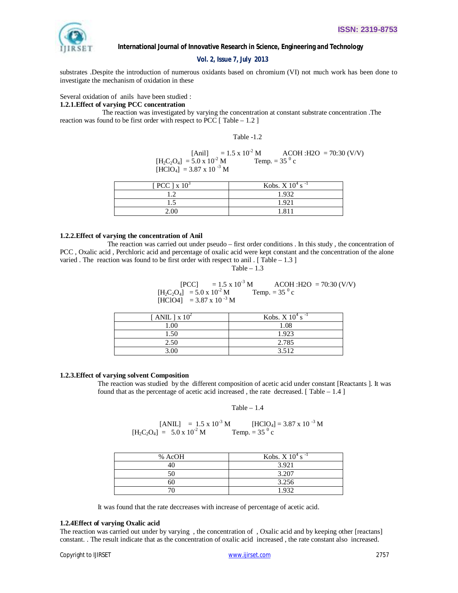

 *Vol. 2, Issue 7, July 2013*

substrates .Despite the introduction of numerous oxidants based on chromium (VI) not much work has been done to investigate the mechanism of oxidation in these

Several oxidation of anils have been studied :

# **1.2.1.Effect of varying PCC concentration**

 The reaction was investigated by varying the concentration at constant substrate concentration .The reaction was found to be first order with respect to PCC  $\lceil$  Table – 1.2  $\rceil$ 

Table -1.2

[Anil] =  $1.5 \times 10^{-2}$  M ACOH : H2O = 70:30 (V/V)  $[H_2C_2O_4] = 5.0 \times 10^{-2} \text{ M}$ Temp. =  $35^{0}$  c  $[HClO_4] = 3.87 \times 10^{-3}$  M

| PCC $\vert$ x $10^3$ | Kobs. $X$ 10 <sup>4</sup> s <sup>-1</sup> |
|----------------------|-------------------------------------------|
|                      | 1932                                      |
| ن د                  | 192 <sup>1</sup>                          |
| 2.00                 |                                           |

## **1.2.2.Effect of varying the concentration of Anil**

 The reaction was carried out under pseudo – first order conditions . In this study , the concentration of PCC , Oxalic acid , Perchloric acid and percentage of oxalic acid were kept constant and the concentration of the alone varied . The reaction was found to be first order with respect to anil . [Table –  $1.3$ ]

Table  $-1.3$ 

 $[PCC]$  = 1.5 x 10<sup>-3</sup> M ACOH :H2O = 70:30 (V/V)  $[H_2C_2O_4] = 5.0 \times 10^{-2} M$ Temp. =  $35^{\circ}$  c  $[HCIO4]$  = 3.87 x 10<sup>-3</sup> M

| [ANIL ] $\times 10^2$ | Kobs. $X 10^4$ s <sup>-1</sup> |
|-----------------------|--------------------------------|
| .00                   | 1.08                           |
| 1.50                  | 1.923                          |
| 2.50                  | 2.785                          |
| 3 OO                  | 3.512                          |

## **1.2.3.Effect of varying solvent Composition**

The reaction was studied by the different composition of acetic acid under constant [Reactants ]. It was found that as the percentage of acetic acid increased, the rate decreased.  $[$  Table  $-1.4]$ 

Table  $-1.4$ 

[ANIL] =  $1.5 \times 10^{-3}$  M [HClO<sub>4</sub>] =  $3.87 \times 10^{-3}$  M  $[H_2C_2O_4] = 5.0 \times 10^{-2} M$ Temp. =  $35^{0}$  c

| % AcOH | Kobs. X $10^4$ s <sup>-1</sup> |
|--------|--------------------------------|
|        | 3.921                          |
|        | 3.207                          |
|        | 3.256                          |
|        | 1.932                          |

It was found that the rate deccreases with increase of percentage of acetic acid.

## **1.2.4Effect of varying Oxalic acid**

The reaction was carried out under by varying , the concentration of , Oxalic acid and by keeping other [reactans] constant. . The result indicate that as the concentration of oxalic acid increased , the rate constant also increased.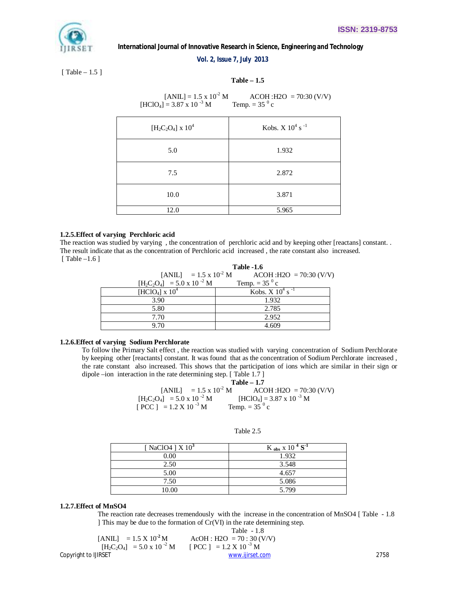## *Vol. 2, Issue 7, July 2013*

[ Table – 1.5 ]

# **Table – 1.5**

 $[ANIL] = 1.5 \times 10^{-2} M$   $ACOH : H2O = 70:30 (V/V)$  $[HCIO<sub>4</sub>] = 3.87 \times 10^{-3} M$ Temp. =  $35^\circ$  c

| $[H_2C_2O_4] \times 10^4$ | Kobs. X $10^4$ s <sup>-1</sup> |
|---------------------------|--------------------------------|
| 5.0                       | 1.932                          |
| 7.5                       | 2.872                          |
| 10.0                      | 3.871                          |
| 12.0                      | 5.965                          |

# **1.2.5.Effect of varying Perchloric acid**

The reaction was studied by varying , the concentration of perchloric acid and by keeping other [reactans] constant. . The result indicate that as the concentration of Perchloric acid increased , the rate constant also increased. [ Table –1.6 ]

|                                      | <b>Table -1.6</b>                                          |  |
|--------------------------------------|------------------------------------------------------------|--|
|                                      | [ANIL] = 1.5 x 10 <sup>-2</sup> M ACOH : H2O = 70:30 (V/V) |  |
| $[H_2C_2O_4] = 5.0 \times 10^{-2} M$ | Temp. = $35^{0}$ c                                         |  |
| [HClO <sub>4</sub> ] x $10^4$        | Kobs. X $10^4$ s <sup>-1</sup>                             |  |
| 3.90                                 | 1.932                                                      |  |
| 5.80                                 | 2.785                                                      |  |
| 7.70                                 | 2.952                                                      |  |
| 9.70                                 | 4.609                                                      |  |

## **1.2.6.Effect of varying Sodium Perchlorate**

To follow the Primary Salt effect , the reaction was studied with varying concentration of Sodium Perchlorate by keeping other [reactants] constant. It was found that as the concentration of Sodium Perchlorate increased , the rate constant also increased. This shows that the participation of ions which are similar in their sign or dipole –ion interaction in the rate determining step. [ Table 1.7 ]

|                                            | Table $-1.7$                                               |
|--------------------------------------------|------------------------------------------------------------|
|                                            | [ANIL] = 1.5 x 10 <sup>-2</sup> M ACOH : H2O = 70:30 (V/V) |
| $[H_2C_2O_4] = 5.0 \times 10^{-2} M$       | $[HCIO_4] = 3.87 \times 10^{-3} M$                         |
| $[PCC] = 1.2 \text{ X } 10^{-3} \text{ M}$ | Temp. = $35^{0}$ c                                         |

| [NaClO4 ] $X$ 10 <sup>3</sup> | K <sub>obs</sub> x 10 <sup>4</sup> S <sup>-1</sup> |
|-------------------------------|----------------------------------------------------|
| 0.00                          | 1.932                                              |
| 2.50                          | 3.548                                              |
| 5.00                          | 4.657                                              |
| 7.50                          | 5.086                                              |
| 10.00                         | 5.799                                              |

## Table 2.5

## **1.2.7.Effect of MnSO4**

The reaction rate decreases tremendously with the increase in the concentration of MnSO4 [ Table - 1.8 ] This may be due to the formation of Cr(VI) in the rate determining step.  $T<sub>2</sub>$  1.1.

[ANIL] = 
$$
1.5 \times 10^2 M
$$
  
\n[H<sub>2</sub>C<sub>2</sub>O<sub>4</sub>] =  $5.0 \times 10^{-2} M$   
\n[PCC] =  $1.2 \times 10^{-3} M$   
\n[PCC] =  $1.2 \times 10^{-3} M$   
\n $\frac{www.ijirset.com}{www.ijirset.com}$  [2758]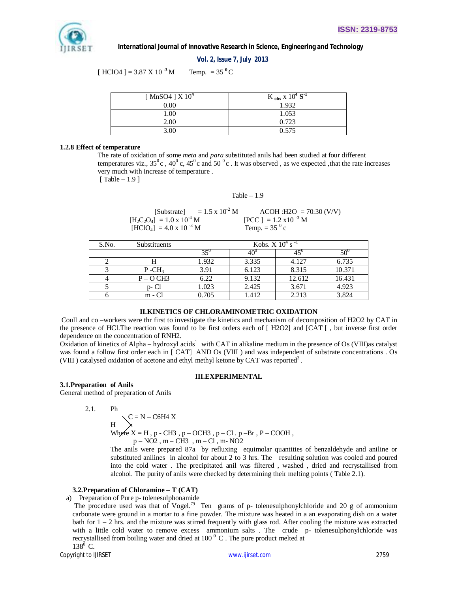

 *Vol. 2, Issue 7, July 2013*

 $[HClO4] = 3.87 \times 10^{-3}$  M Temp. = 35<sup>°</sup>C

| [ MnSO4 ] X 10 <sup>4</sup> | K <sub>obs</sub> x $10^4 S^{-1}$ |
|-----------------------------|----------------------------------|
| 0.00                        | 1.932                            |
| .00                         | 1.053                            |
| 2.00                        | 0.723                            |
| 3 OO                        | 0.575                            |

## **1.2.8 Effect of temperature**

The rate of oxidation of some *meta* and *para* substituted anils had been studied at four different temperatures viz.,  $35^0c$ ,  $40^0c$ ,  $45^0c$  and  $50^0c$ . It was observed, as we expected, that the rate increases very much with increase of temperature .

[ Table – 1.9 ]

#### Table  $-1.9$

[Substrate] =  $1.5 \times 10^{-2}$  M  $\qquad \qquad$  ACOH :H2O = 70:30 (V/V)<br>1 =  $1.0 \times 10^{-4}$  M  $\qquad \qquad$  [PCC 1 =  $1.2 \times 10^{-3}$  M  $[H_2C_2O_4] = 1.0 \times 10^{-4} M$  $[HClO_4] = 4.0 \times 10^{-3}$  M Temp. =  $35^{0}$  c

| S.No. | <b>Substituents</b> | Kobs. $X$ 10 <sup>4</sup> s <sup>-1</sup> |              |              |              |
|-------|---------------------|-------------------------------------------|--------------|--------------|--------------|
|       |                     |                                           | $40^{\circ}$ | $45^{\circ}$ | $50^{\circ}$ |
|       | н                   | 1.932                                     | 3.335        | 4.127        | 6.735        |
|       | $P - CH_3$          | 3.91                                      | 6.123        | 8.315        | 10.371       |
|       | $P - O CH3$         | 6.22                                      | 9.132        | 12.612       | 16.431       |
|       | p-Cl                | 1.023                                     | 2.425        | 3.671        | 4.923        |
|       | $m - Cl$            | 0.705                                     | 1.412        | 2.213        | 3.824        |

# **II.KINETICS OF CHLORAMINOMETRIC OXIDATION**

Coull and co –workers were thr first to investigate the kinetics and mechanism of decomposition of H2O2 by CAT in the presence of HCl.The reaction was found to be first orders each of [ H2O2] and [CAT [ , but inverse first order dependence on the concentration of RNH2.

Oxidation of kinetics of Alpha – hydroxyl acids<sup>1</sup> with CAT in alikaline medium in the presence of Os (VIII)as catalyst was found a follow first order each in [ CAT] AND Os (VIII ) and was independent of substrate concentrations . Os (VIII) catalysed oxidation of acetone and ethyl methyl ketone by CAT was reported<sup>3</sup>.

## **III.EXPERIMENTAL**

### **3.1.Preparation of Anils**

General method of preparation of Anils

$$
2.1. \qquad Ph
$$

 $\setminus$  C = N – C6H4 X

$$
H \quad \searrow
$$

Where  $X = H$ , p - CH3, p – OCH3, p – Cl. p – Br, P – COOH,

 $p - NO2$ ,  $m - CH3$ ,  $m - Cl$ ,  $m - NO2$ 

The anils were prepared 87a by refluxing equimolar quantities of benzaldehyde and aniline or substituted anilines in alcohol for about 2 to 3 hrs. The resulting solution was cooled and poured into the cold water . The precipitated anil was filtered , washed , dried and recrystallised from alcohol. The purity of anils were checked by determining their melting points ( Table 2.1).

## **3.2.Preparation of Chloramine – T (CAT)**

a) Preparation of Pure p- tolenesulphonamide

The procedure used was that of Vogel.<sup>79</sup> Ten grams of p- tolenesulphonylchloride and 20 g of ammonium carbonate were ground in a mortar to a fine powder. The mixture was heated in a an evaporating dish on a water bath for  $1 - 2$  hrs. and the mixture was stirred frequently with glass rod. After cooling the mixture was extracted with a little cold water to remove excess ammonium salts . The crude p- tolenesulphonylchloride was recrystallised from boiling water and dried at  $100<sup>0</sup>$  C. The pure product melted at  $138^0$  C.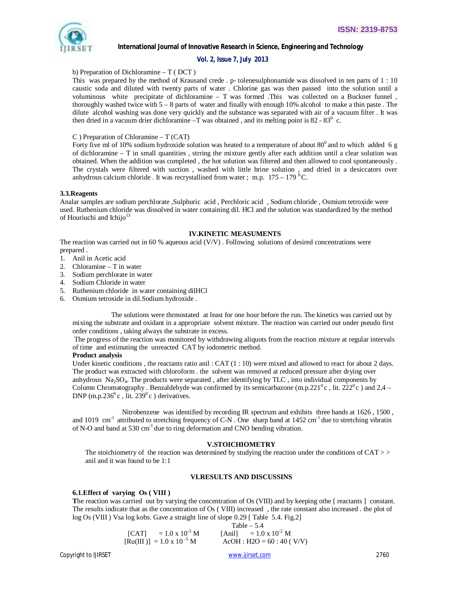

# *Vol. 2, Issue 7, July 2013*

## b) Preparation of Dichloramine – T ( DCT )

This was prepared by the method of Krausand crede . p- tolenesulphonamide was dissolved in ten parts of 1 : 10 caustic soda and diluted with twenty parts of water . Chlorine gas was then passed into the solution until a voluminous white precipitate of dichloramine – T was formed .This was collected on a Buckner funnel , thoroughly washed twice with 5 – 8 parts of water and finally with enough 10% alcohol to make a thin paste . The dilute alcohol washing was done very quickly and the substance was separated with air of a vacuum filter . It was then dried in a vacuum drier dichloramine  $-\overline{T}$  was obtained, and its melting point is 82 - 83<sup>0</sup> c.

## C ) Preparation of Chloramine – T (CAT)

Forty five ml of 10% sodium hydroxide solution was heated to a temperature of about  $80^{\circ}$  and to which added 6 g of dichloramine – T in small quantities , strring the mixture gently after each addition until a clear solution was obtained. When the addition was completed , the hot solution was filtered and then allowed to cool spontaneously . The crystals were filtered with suction , washed with little brine solution , and dried in a desiccators over anhydrous calcium chloride . It was recrystallised from water ; m.p.  $175 - 179$  °C.

## **3.3.Reagents**

Analar samples are sodium perchlorate ,Sulphuric acid , Perchloric acid , Sodium chloride , Osmium tetroxide were used. Ruthenium chloride was dissolved in water containing dil. HCl and the solution was standardized by the method of Houriuchi and Ichijo<sup>13</sup>

## **IV.KINETIC MEASUMENTS**

The reaction was carried out in 60 % aqueous acid (V/V) . Following solutions of desired concentrations were prepared .

- 1. Anil in Acetic acid
- 2. Chloramine T in water
- 3. Sodium perchlorate in water
- 4. Sodium Chloride in water
- 5. Ruthenium chloride in water containing dilHCl
- 6. Osmium tetroxide in dil.Sodium hydroxide .

 The solutions were thrmostated at least for one hour before the run. The kinetics was carried out by mixing the substrate and oxidant in a appropriate solvent mixture. The reaction was carried out under pseudo first order conditions , taking always the substrate in excess.

The progress of the reaction was monitored by withdrawing aliquots from the reaction mixture at regular intervals of time and estimating the unreacted CAT by iodometric method.

### **Product analysis**

Under kinetic conditions, the reactants ratio anil: CAT  $(1:10)$  were mixed and allowed to react for about 2 days. The product was extracted with chloroform . the solvent was removed at reduced pressure after drying over anhydrous Na2SO4. The products were separated , after identifying by TLC , into individual components by Column Chromatography . Benzaldehyde was confirmed by its semicarbazone (m.p.221<sup>0</sup>c), lit. 222<sup>0</sup>c) and 2,4 – DNP (m.p.236 $^0$ c, lit. 239 $^0$ c) derivatives.

 Nitrobenzene was identified by recording IR spectrum and exhibits three bands at 1626 , 1500 , and 1019 cm<sup>-1</sup> attributed to stretching frequency of C-N. One sharp band at  $1452 \text{ cm}^{-1}$  due to stretching vibratin of N-O and band at 530 cm<sup>-1</sup> due to ring deformation and CNO bending vibration.

## **V.STOICHIOMETRY**

The stoichiometry of the reaction was determined by studying the reaction under the conditions of  $CAT \gg$ anil and it was found to be 1:1

## **VI.RESULTS AND DISCUSSINS**

## **6.1.Effect of varying Os ( VIII )**

**T**he reaction was carried out by varying the concentration of Os (VIII) and by keeping othe [ reactants ] constant. The results indicate that as the concentration of Os ( VIII) increased , the rate constant also increased . the plot of log Os (VIII ) Vsa log kobs. Gave a straight line of slope 0.29 [ Table 5.4. Fig.2]

|                                                  | Table $-5.4$                    |  |
|--------------------------------------------------|---------------------------------|--|
| $= 1.0 \times 10^{-3}$ M<br><b>TCATL</b>         | [Anil] = $1.0 \times 10^{-2}$ M |  |
| $\text{[Ru(III)]} = 1.0 \times 10^{-5} \text{M}$ | $ACOH$ : H2O = 60 : 40 ( V/V)   |  |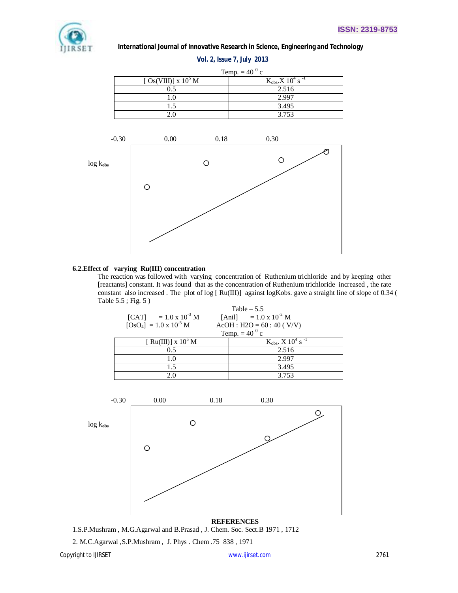

## **6.2.Effect of varying Ru(III) concentration**

The reaction was followed with varying concentration of Ruthenium trichloride and by keeping other [reactants] constant. It was found that as the concentration of Ruthenium trichloride increased , the rate constant also increased . The plot of log [ Ru(III)] against logKobs. gave a straight line of slope of 0.34 ( Table 5.5 ; Fig. 5 )

|                                 | Table $-5.5$                                  |
|---------------------------------|-----------------------------------------------|
| [CAT] = $1.0 \times 10^{-3}$ M  | [Anil] = $1.0 \times 10^{-2}$ M               |
| $[OsO4] = 1.0 \times 10^{-5}$ M | $AcOH$ : H2O = 60 : 40 (V/V)                  |
|                                 | Temp. $= 40^{0}$ c                            |
| [Ru(III)] x $10^5$ M            | $K_{obs}$ , X 10 <sup>4</sup> s <sup>-1</sup> |
| 0.5                             | 2.516                                         |
| 1.0                             | 2.997                                         |
| 1.5                             | 3.495                                         |
| 20                              | 3.753                                         |



**REFERENCES** 1.S.P.Mushram , M.G.Agarwal and B.Prasad , J. Chem. Soc. Sect.B 1971 , 1712